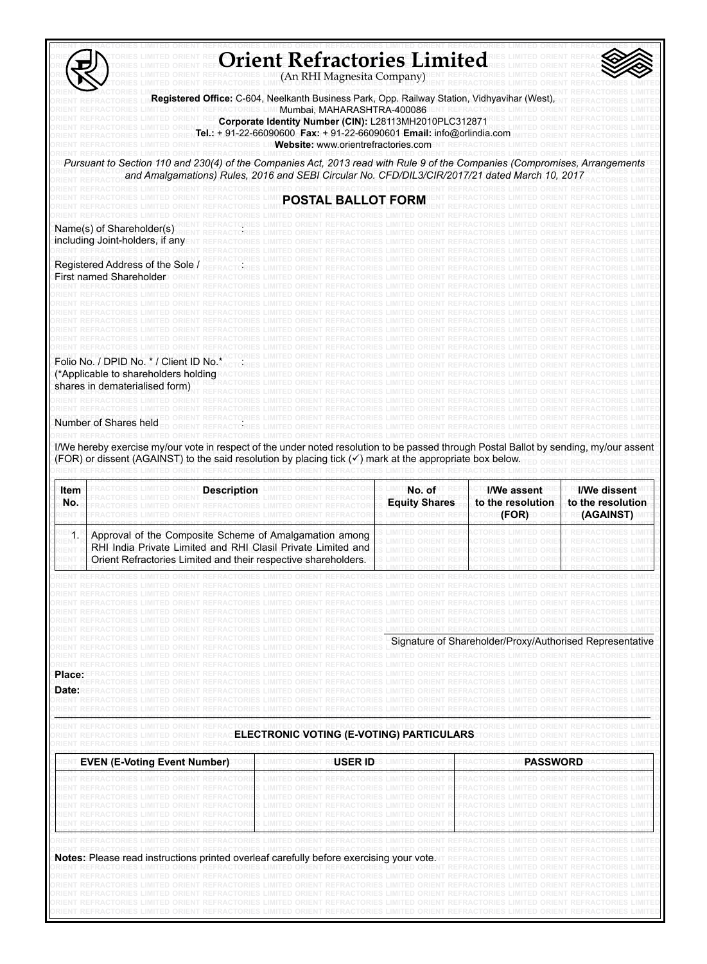| First named Shareholder<br>Number of Shares held<br>Item<br>No. | Registered Office: C-604, Neelkanth Business Park, Opp. Railway Station, Vidhyavihar (West)<br>RACTORIES LIMI <b>'Mumbai, MAHARASHTRA-400086</b> IENT REFRACTOI<br>Corporate Identity Number (CIN): L28113MH2010PLC312871<br>Website: www.orientrefractories.com<br>Pursuant to Section 110 and 230(4) of the Companies Act, 2013 read with Rule 9 of the Companies (Compromises, Arranger<br>and Amalgamations) Rules, 2016 and SEBI Circular No. CFD/DIL3/CIR/2017/21 dated March 10, 2017<br><b>POSTAL BALLOT FORM</b><br>Name(s) of Shareholder(s)<br>including Joint-holders, if any<br>Registered Address of the Sole<br>Folio No. / DPID No. * / Client ID No.<br>(*Applicable to shareholders holding<br>shares in dematerialised form)<br>I/We hereby exercise my/our vote in respect of the under noted resolution to be passed through Postal Ballot by sending, my/our assent<br>(FOR) or dissent (AGAINST) to the said resolution by placing tick $(\checkmark)$ mark at the appropriate box below.<br>Description | No. of<br><b>Equity Shares</b> | I/We assent                                                                                                                                                                     | I/We dissent                   |
|-----------------------------------------------------------------|---------------------------------------------------------------------------------------------------------------------------------------------------------------------------------------------------------------------------------------------------------------------------------------------------------------------------------------------------------------------------------------------------------------------------------------------------------------------------------------------------------------------------------------------------------------------------------------------------------------------------------------------------------------------------------------------------------------------------------------------------------------------------------------------------------------------------------------------------------------------------------------------------------------------------------------------------------------------------------------------------------------------------------|--------------------------------|---------------------------------------------------------------------------------------------------------------------------------------------------------------------------------|--------------------------------|
|                                                                 |                                                                                                                                                                                                                                                                                                                                                                                                                                                                                                                                                                                                                                                                                                                                                                                                                                                                                                                                                                                                                                 |                                |                                                                                                                                                                                 |                                |
|                                                                 |                                                                                                                                                                                                                                                                                                                                                                                                                                                                                                                                                                                                                                                                                                                                                                                                                                                                                                                                                                                                                                 |                                |                                                                                                                                                                                 |                                |
|                                                                 |                                                                                                                                                                                                                                                                                                                                                                                                                                                                                                                                                                                                                                                                                                                                                                                                                                                                                                                                                                                                                                 |                                |                                                                                                                                                                                 |                                |
|                                                                 |                                                                                                                                                                                                                                                                                                                                                                                                                                                                                                                                                                                                                                                                                                                                                                                                                                                                                                                                                                                                                                 |                                |                                                                                                                                                                                 |                                |
|                                                                 |                                                                                                                                                                                                                                                                                                                                                                                                                                                                                                                                                                                                                                                                                                                                                                                                                                                                                                                                                                                                                                 |                                |                                                                                                                                                                                 |                                |
|                                                                 |                                                                                                                                                                                                                                                                                                                                                                                                                                                                                                                                                                                                                                                                                                                                                                                                                                                                                                                                                                                                                                 |                                |                                                                                                                                                                                 |                                |
|                                                                 |                                                                                                                                                                                                                                                                                                                                                                                                                                                                                                                                                                                                                                                                                                                                                                                                                                                                                                                                                                                                                                 |                                |                                                                                                                                                                                 |                                |
|                                                                 |                                                                                                                                                                                                                                                                                                                                                                                                                                                                                                                                                                                                                                                                                                                                                                                                                                                                                                                                                                                                                                 |                                |                                                                                                                                                                                 |                                |
|                                                                 |                                                                                                                                                                                                                                                                                                                                                                                                                                                                                                                                                                                                                                                                                                                                                                                                                                                                                                                                                                                                                                 |                                | to the resolution<br>CTORIE <b>(FOR)</b> E                                                                                                                                      | to the resolution<br>(AGAINST) |
|                                                                 | Approval of the Composite Scheme of Amalgamation among<br>RHI India Private Limited and RHI Clasil Private Limited and<br>Orient Refractories Limited and their respective shareholders                                                                                                                                                                                                                                                                                                                                                                                                                                                                                                                                                                                                                                                                                                                                                                                                                                         |                                |                                                                                                                                                                                 |                                |
|                                                                 | REFRACTORIES LIMITED ORIENT REFRACTORIES LIMITED ORIENT REFRACTORIES LIMITED ORIENT REFRACTORIES LIMITED                                                                                                                                                                                                                                                                                                                                                                                                                                                                                                                                                                                                                                                                                                                                                                                                                                                                                                                        | REFRACTORIES LIMITED ORIENT    |                                                                                                                                                                                 |                                |
|                                                                 | REFRACTORIES LIMITED ORIENT REFRACTORIES LIMITED ORIENT REFRACTORIES LIMITED ORIENT REFRACTORIES LIMITED ORIENT REFRACTORIE<br>IRIENT REFRACTORIES LIMITED ORIENT REFRACTORIES LIMITED ORIENT REFRACTORIES<br>RIENT REFRACTORIES LIMITED ORIENT REFRACTORIES LIMITED ORIENT REFRACTORIES                                                                                                                                                                                                                                                                                                                                                                                                                                                                                                                                                                                                                                                                                                                                        |                                | Signature of Shareholder/Proxy/Authorised Representative                                                                                                                        |                                |
| Date:                                                           | TORIES LIMITED ORIENT REFRACTORIES LIMITED ORIENT<br>RIENT REFRACTORIES LIMITED ORIENT REFRACTORIES LIMITED ORIENT REFRACTORIES LIMITED ORIENT REFRACTORIES LIMITED ORIENT REFRACTORIES<br>EFRACTORIES LIMITED ORIENT REFRACTORIES LIMITED ORIENT REFRACTORIES LIMITED ORIENT REFRACTORIES LIMITED ORIENT REFRACTOR<br>'ORIES LIMITED ORIENT REFRACTORIES LIMITED ORIENT REFRACTORIES LIMITED ORIENT REFRACTORIES LIMITED ORIENT REFRAC<br>ORIES LIMITED ORIENT REFRACTORIES LIMITED ORIENT REFRACTORIES LIMITED ORIENT REFRACTORIES LIMITED ORIENT REFRACTOR<br>RIENT REFRACTORIES LIMITED ORIENT REFRACTORIES LIMITED ORIENT REFRACTORIES LIMITED ORIENT REFRACTORIES LIMITED ORIENT REFRACTORIES                                                                                                                                                                                                                                                                                                                             |                                | REFRACTORIES LIMITED ORIENT REFRACTORIES LIMITED ORIENT REFRACTOR                                                                                                               |                                |
|                                                                 | TORIES LIMITED ORIENT REFRACTORIES LIMITED ORIENT REFRACTORIES LIMITED ORIENT REFRACTORIES LIMITED ORIENT REFRACTORIES<br>RIENT REFRACTORIES LIMITED ORIENT REFRACTO<br>ELECTRONIC VOTING (E-VOTING) PARTICULARS<br>RIENT REFRACTORIES LIMITED ORIENT REFRAC<br>RIENT REFRACTORIES LIMITED ORIENT REFRACTORIES LIMITED ORIENT                                                                                                                                                                                                                                                                                                                                                                                                                                                                                                                                                                                                                                                                                                   |                                | <b>REFRACTORIES LIMITED ORIENT REFRACTORIES</b>                                                                                                                                 |                                |
|                                                                 | EVEN (E-Voting Event Number)<br><b>USER ID</b><br><b>LIMITED ORIENT R</b>                                                                                                                                                                                                                                                                                                                                                                                                                                                                                                                                                                                                                                                                                                                                                                                                                                                                                                                                                       | S LIMITED ORIENT               | PASSWORD<br><b>FRACTORIES LIM</b>                                                                                                                                               |                                |
|                                                                 | RIENT REFRACTORIES LIMITED ORIENT REFRACTORI<br>ORIENT REFRACTORIES LIMITED ORIENT F<br>NENT REFRACTORIES LIMITED ORIENT REFRACTORI<br>RIENT REFRACTORIES LIMITED ORIENT REFRACTORI<br>RIENT REFRACTORIES LIMITED ORIENT REFRACTORII<br>S LIMITED ORIENT REFRACTORIES LIMITED ORIENT R                                                                                                                                                                                                                                                                                                                                                                                                                                                                                                                                                                                                                                                                                                                                          |                                | FRACTORIES LIMITED ORIENT REFRACTORIES LIMI<br>IORIES LIMITED ORIENT REFRACTOR<br><b>FRACTORIES LIMITED ORIENT REFRACTORIES</b><br>FRACTORIES LIMITED ORIENT REFRACTORIES LIMIT |                                |
|                                                                 | RIENT REFRACTORIES LIMITED ORIENT REFRACTORI<br>S LIMITED ORIENT REFRACTORIES LIMITED ORIENT                                                                                                                                                                                                                                                                                                                                                                                                                                                                                                                                                                                                                                                                                                                                                                                                                                                                                                                                    |                                | FRACTORIES LIMITED ORIENT REFRACTORIES LIMIT                                                                                                                                    |                                |
|                                                                 | RIENT REFRACTORIES LIMITED ORIENT REFRACTORIES LIMITED ORIENT REFRACTORIES LIMITED ORIENT REFRACTORIES LIMITED ORIENT REFRACTOR<br>Notes: Please read instructions printed overleaf carefully before exercising your vote.<br>RIENT REFRACTORIES LIMITED ORIENT REFRACTORIES LIMITED ORIENT REFRACTORIES LIMITED ORIENT                                                                                                                                                                                                                                                                                                                                                                                                                                                                                                                                                                                                                                                                                                         |                                |                                                                                                                                                                                 |                                |